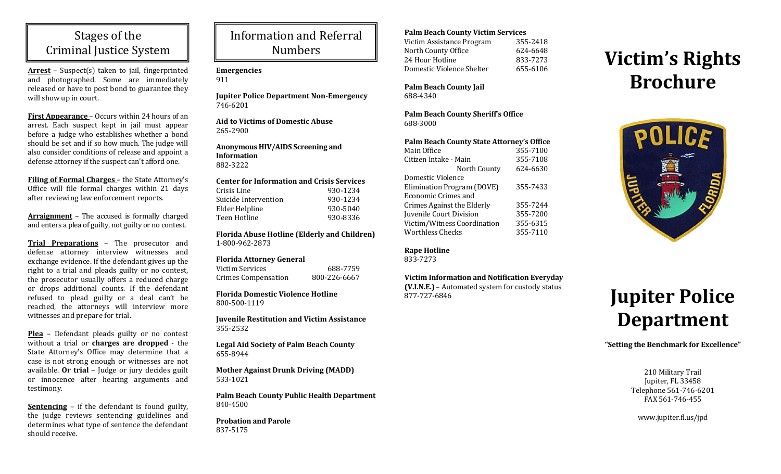# Stages of the Criminal Justice System

**Arrest** – Suspect(s) taken to jail, fingerprinted and photographed. Some are immediately released or have to post bond to guarantee they will show up in court.

**First Appearance** – Occurs within 24 hours of an arrest. Each suspect kept in jail must appear before a judge who establishes whether a bond should be set and if so how much. The judge will also consider conditions of release and appoint a defense attorney if the suspect can't afford one.

**Filing of Formal Charges** – the State Attorney's Office will file formal charges within 21 days after reviewing law enforcement reports.

**Arraignment** – The accused is formally charged and enters a plea of guilty, not guilty or no contest.

**Trial Preparations** – The prosecutor and defense attorney interview witnesses and exchange evidence. If the defendant gives up the right to a trial and pleads guilty or no contest, the prosecutor usually offers a reduced charge or drops additional counts. If the defendant refused to plead guilty or a deal can't be reached, the attorneys will interview more witnesses and prepare for trial.

**Plea** - Defendant pleads guilty or no contest without a trial or **charges** are **dropped** - the State Attorney's Office may determine that a case is not strong enough or witnesses are not available. **Or trial** – Judge or jury decides guilt or innocence after hearing arguments and testimony. 

**<u>Sentencing</u>** – if the defendant is found guilty, the judge reviews sentencing guidelines and determines what type of sentence the defendant should receive.

# Information and Referral Numbers

## **Emergencies**

911 

**Jupiter Police Department Non‐Emergency** 746‐6201 

**Aid to Victims of Domestic Abuse** 265‐2900 

**Anonymous HIV/AIDS Screening and Information**882‐3222 

#### **Center for Information and Crisis Services** Crisis Line 930‐1234

| Suicide Intervention | 930-1234 |
|----------------------|----------|
| Elder Helpline       | 930-5040 |
| Teen Hotline         | 930-8336 |
|                      |          |

**Florida Abuse Hotline (Elderly and Children)** 1‐800‐962‐2873 

## **Florida Attorney General**

| Victim Services            | 688-7759     |
|----------------------------|--------------|
| <b>Crimes Compensation</b> | 800-226-6667 |

**Florida Domestic Violence Hotline** 800‐500‐1119 

**Juvenile Restitution and Victim Assistance** 355‐2532 

**Legal Ai d Society of Palm Beach County** 655‐8944 

**Mother Against Drunk Driving (MADD)** 533‐1021 

**Palm Beach County Public Health Department** 840‐4500 

**Probation an d Parole** 837‐5175 

## **Palm Beach County Victim Services**

Victim Assistance Program 355-2418 North County Office 624-6648 24 Hour Hotline 833‐7273 Domestic Violence Shelter 655-6106

**Palm Beach County Jail** 688‐4340 

**Palm Beach County Sheriff's Office** 688‐3000 

## **Palm Beach County State Attorney's Office**

| Main Office                       | 355-7100 |
|-----------------------------------|----------|
| Citizen Intake - Main             | 355-7108 |
| North County                      | 624-6630 |
| Domestic Violence                 |          |
| Elimination Program (DOVE)        | 355-7433 |
| <b>Economic Crimes and</b>        |          |
| <b>Crimes Against the Elderly</b> | 355-7244 |
| Juvenile Court Division           | 355-7200 |
| Victim/Witness Coordination       | 355-6315 |
| <b>Worthless Checks</b>           | 355-7110 |
|                                   |          |

## **Rape Hotline**

833‐7273 

## **Victim Information and Notification Everyday**

**(V.I.N.E.)** – Automated system for custody status 877‐727‐6846 

# **Victim's Rights Brochure**



# **Jupiter Police Department**

## **"Setting the Benchmark for Excellence"**

210 Military Trail Jupiter, FL 33458 Telephone 561-746-6201 FAX 561‐746‐455 

www.jupiter.fl.us/jpd